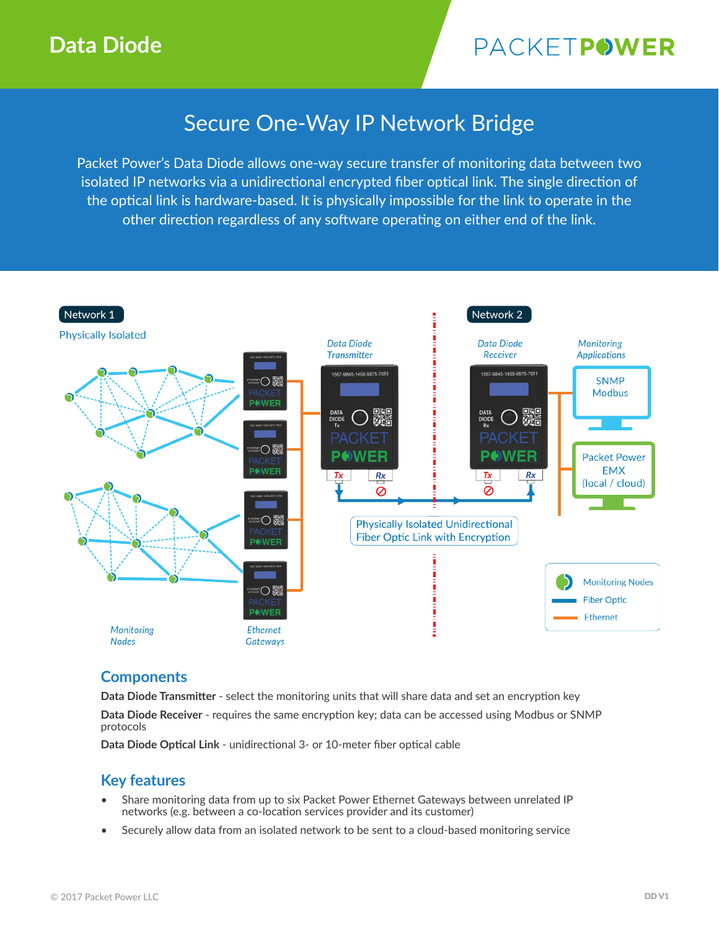# PACKETPOWER

## Secure One-Way IP Network Bridge

Packet Power's Data Diode allows one-way secure transfer of monitoring data between two isolated IP networks via a unidirectional encrypted fiber optical link. The single direction of the optical link is hardware-based. It is physically impossible for the link to operate in the other direction regardless of any software operating on either end of the link.



### **Components**

**Data Diode Transmitter** - select the monitoring units that will share data and set an encryption key

**Data Diode Receiver** - requires the same encryption key; data can be accessed using Modbus or SNMP protocols

**Data Diode Optical Link** - unidirectional 3- or 10-meter fiber optical cable

### **Key features**

- Share monitoring data from up to six Packet Power Ethernet Gateways between unrelated IP networks (e.g. between a co-location services provider and its customer)
- Securely allow data from an isolated network to be sent to a cloud-based monitoring service